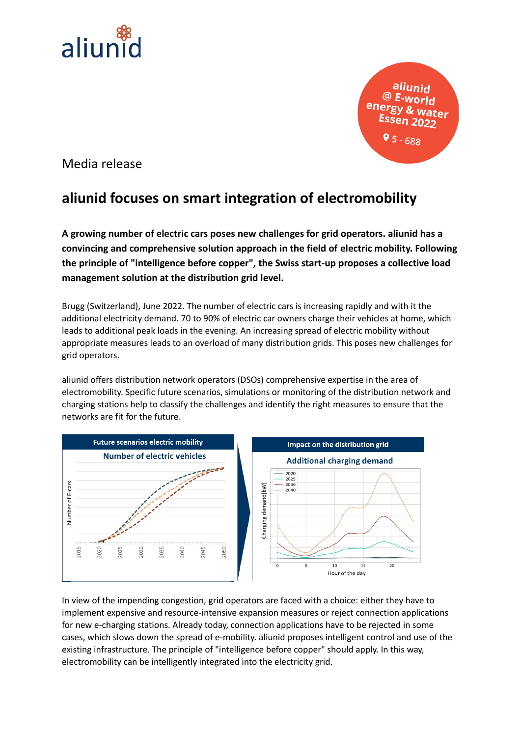

aliunid  $@$  E-world energy & water  $95 - 688$ 

Media release

## **aliunid focuses on smart integration of electromobility**

**A growing number of electric cars poses new challenges for grid operators. aliunid has a convincing and comprehensive solution approach in the field of electric mobility. Following the principle of "intelligence before copper", the Swiss start-up proposes a collective load management solution at the distribution grid level.**

Brugg (Switzerland), June 2022. The number of electric cars is increasing rapidly and with it the additional electricity demand. 70 to 90% of electric car owners charge their vehicles at home, which leads to additional peak loads in the evening. An increasing spread of electric mobility without appropriate measures leads to an overload of many distribution grids. This poses new challenges for grid operators.

aliunid offers distribution network operators (DSOs) comprehensive expertise in the area of electromobility. Specific future scenarios, simulations or monitoring of the distribution network and charging stations help to classify the challenges and identify the right measures to ensure that the networks are fit for the future.



In view of the impending congestion, grid operators are faced with a choice: either they have to implement expensive and resource-intensive expansion measures or reject connection applications for new e-charging stations. Already today, connection applications have to be rejected in some cases, which slows down the spread of e-mobility. aliunid proposes intelligent control and use of the existing infrastructure. The principle of "intelligence before copper" should apply. In this way, electromobility can be intelligently integrated into the electricity grid.